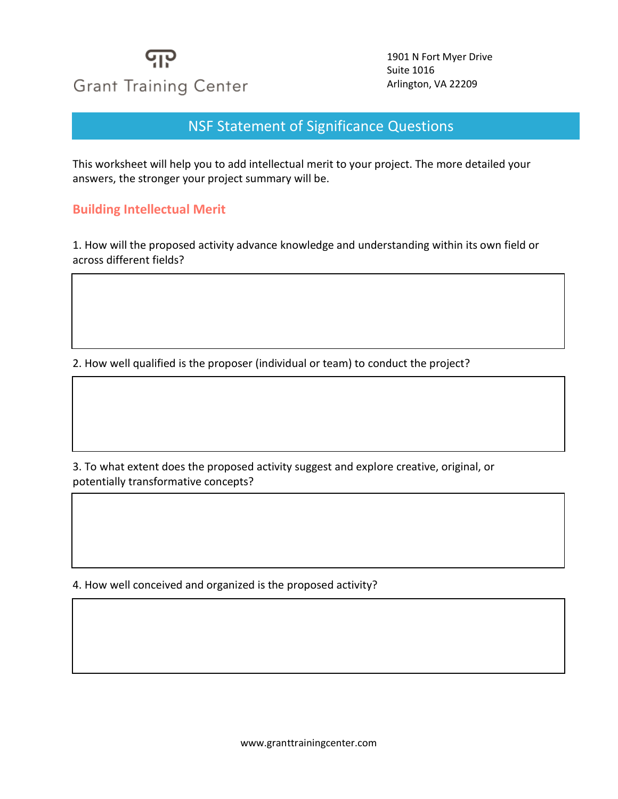

1901 N Fort Myer Drive Suite 1016 Arlington, VA 22209

NSF Statement of Significance Questions

This worksheet will help you to add intellectual merit to your project. The more detailed your answers, the stronger your project summary will be.

#### **Building Intellectual Merit**

1. How will the proposed activity advance knowledge and understanding within its own field or across different fields?

2. How well qualified is the proposer (individual or team) to conduct the project?

3. To what extent does the proposed activity suggest and explore creative, original, or potentially transformative concepts?

4. How well conceived and organized is the proposed activity?

www.granttrainingcenter.com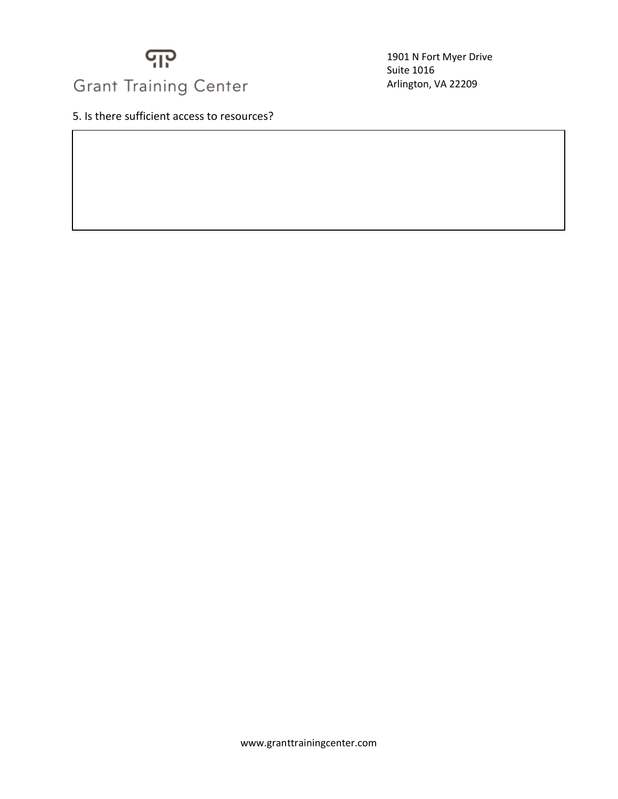

1901 N Fort Myer Drive Suite 1016 Arlington, VA 22209

5. Is there sufficient access to resources?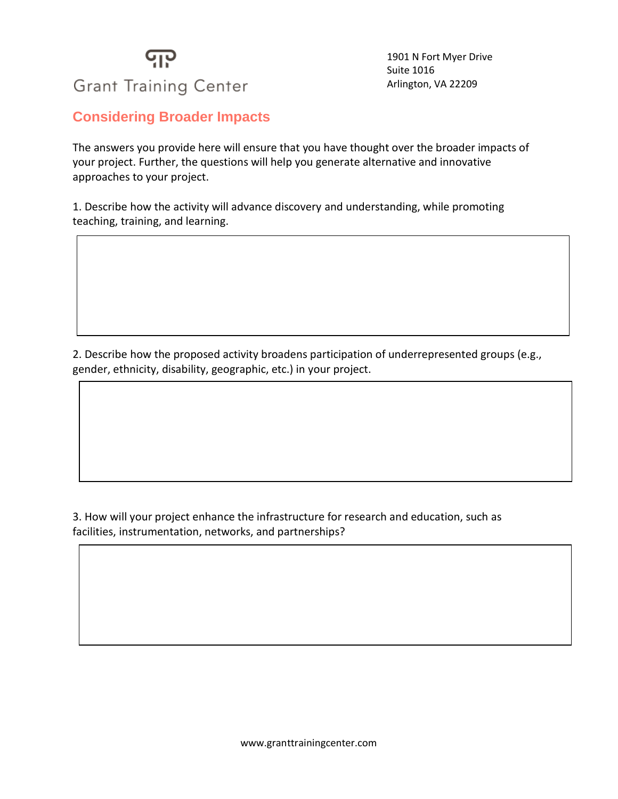# ပျုပ

1901 N Fort Myer Drive Suite 1016 Arlington, VA 22209

### **Grant Training Center**

#### **Considering Broader Impacts**

The answers you provide here will ensure that you have thought over the broader impacts of your project. Further, the questions will help you generate alternative and innovative approaches to your project.

1. Describe how the activity will advance discovery and understanding, while promoting teaching, training, and learning.

2. Describe how the proposed activity broadens participation of underrepresented groups (e.g., gender, ethnicity, disability, geographic, etc.) in your project.

3. How will your project enhance the infrastructure for research and education, such as facilities, instrumentation, networks, and partnerships?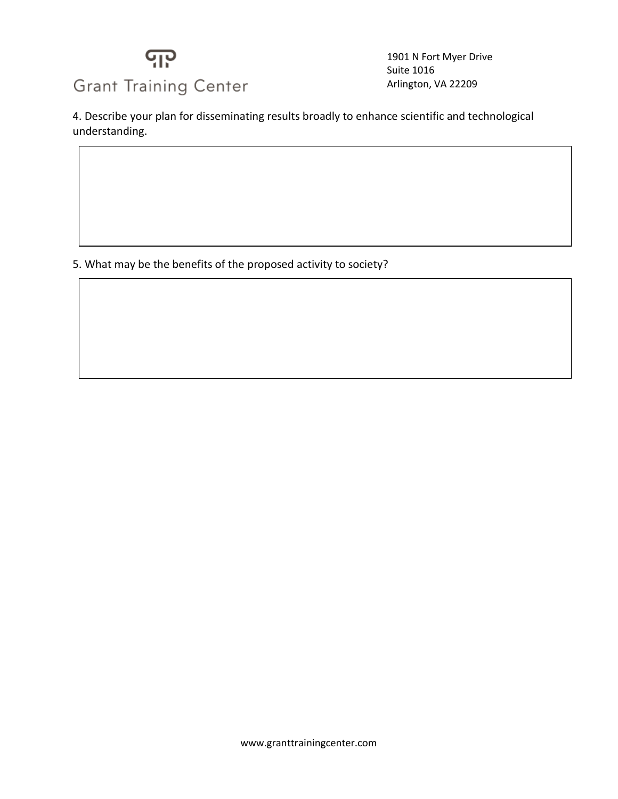

1901 N Fort Myer Drive Suite 1016 Arlington, VA 22209

4. Describe your plan for disseminating results broadly to enhance scientific and technological understanding.

5. What may be the benefits of the proposed activity to society?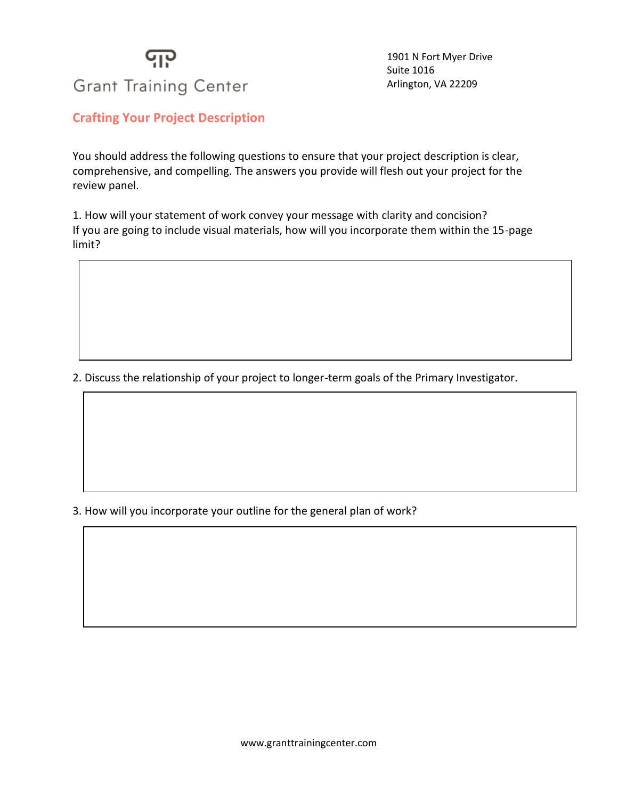### ပျပု **Grant Training Center**

1901 N Fort Myer Drive Suite 1016 Arlington, VA 22209

#### **Crafting Your Project Description**

You should address the following questions to ensure that your project description is clear, comprehensive, and compelling. The answers you provide will flesh out your project for the review panel.

1. How will your statement of work convey your message with clarity and concision? If you are going to include visual materials, how will you incorporate them within the 15-page limit?

2. Discuss the relationship of your project to longer-term goals of the Primary Investigator.

3. How will you incorporate your outline for the general plan of work?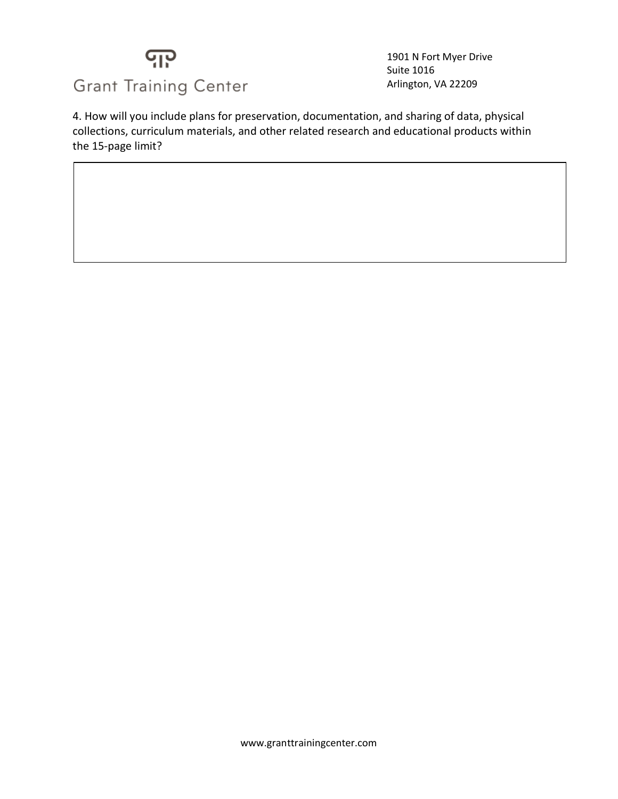## <u> င</u>ျာ **Grant Training Center**

1901 N Fort Myer Drive Suite 1016 Arlington, VA 22209

4. How will you include plans for preservation, documentation, and sharing of data, physical collections, curriculum materials, and other related research and educational products within the 15-page limit?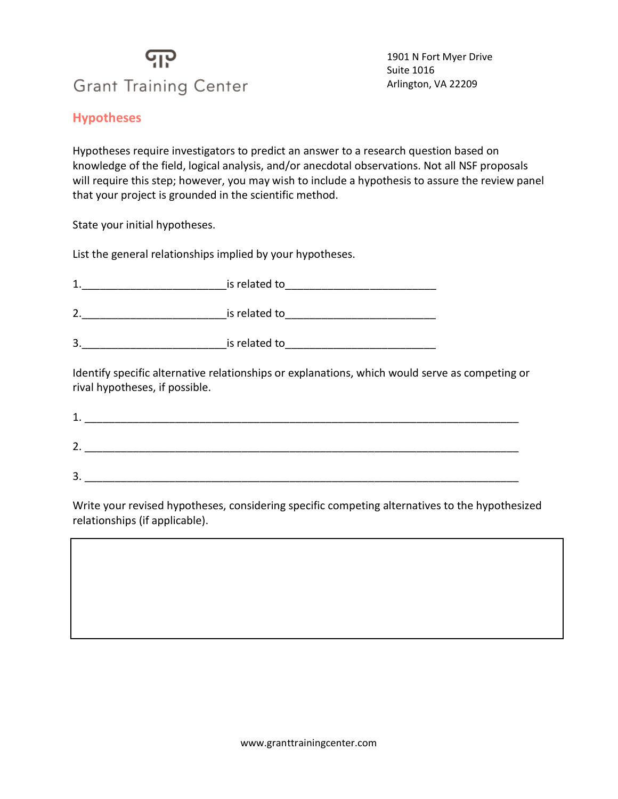### ပျပု **Grant Training Center**

1901 N Fort Myer Drive Suite 1016 Arlington, VA 22209

#### **Hypotheses**

Hypotheses require investigators to predict an answer to a research question based on knowledge of the field, logical analysis, and/or anecdotal observations. Not all NSF proposals will require this step; however, you may wish to include a hypothesis to assure the review panel that your project is grounded in the scientific method.

State your initial hypotheses.

List the general relationships implied by your hypotheses.

| 1<br>л. | is related to |
|---------|---------------|
|         |               |

2.\_\_\_\_\_\_\_\_\_\_\_\_\_\_\_\_\_\_\_\_\_\_\_\_is related to\_\_\_\_\_\_\_\_\_\_\_\_\_\_\_\_\_\_\_\_\_\_\_\_\_

3.\_\_\_\_\_\_\_\_\_\_\_\_\_\_\_\_\_\_\_\_\_\_\_\_is related to\_\_\_\_\_\_\_\_\_\_\_\_\_\_\_\_\_\_\_\_\_\_\_\_\_

Identify specific alternative relationships or explanations, which would serve as competing or rival hypotheses, if possible.

| -<br>- |  |
|--------|--|

Write your revised hypotheses, considering specific competing alternatives to the hypothesized relationships (if applicable).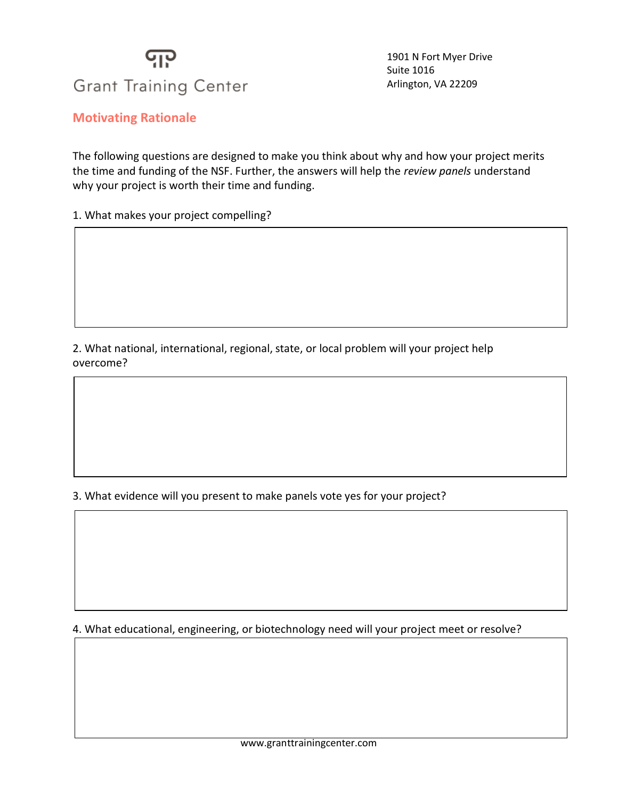## ပျပု **Grant Training Center**

1901 N Fort Myer Drive Suite 1016 Arlington, VA 22209

**Motivating Rationale**

The following questions are designed to make you think about why and how your project merits the time and funding of the NSF. Further, the answers will help the *review panels* understand why your project is worth their time and funding.

1. What makes your project compelling?

2. What national, international, regional, state, or local problem will your project help overcome?

3. What evidence will you present to make panels vote yes for your project?

4. What educational, engineering, or biotechnology need will your project meet or resolve?